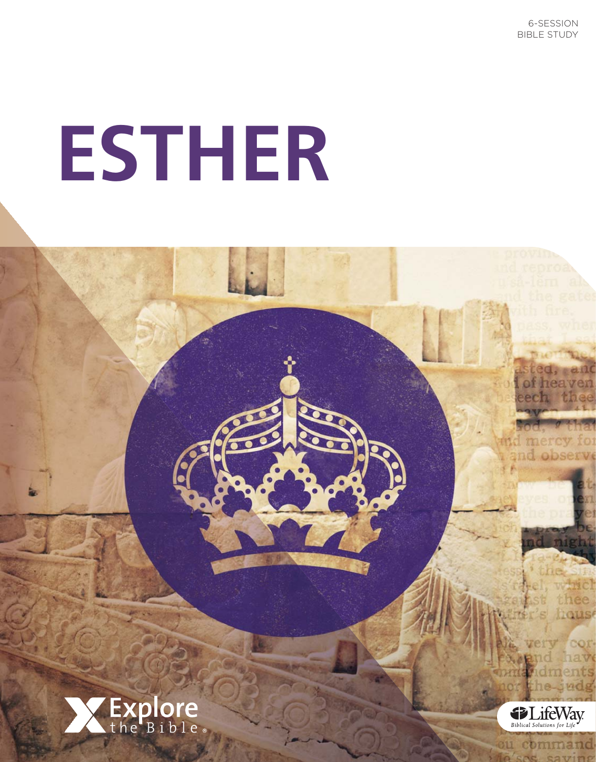6-SESSION BIBLE STUDY

all

d observ

# **ESTHER**





command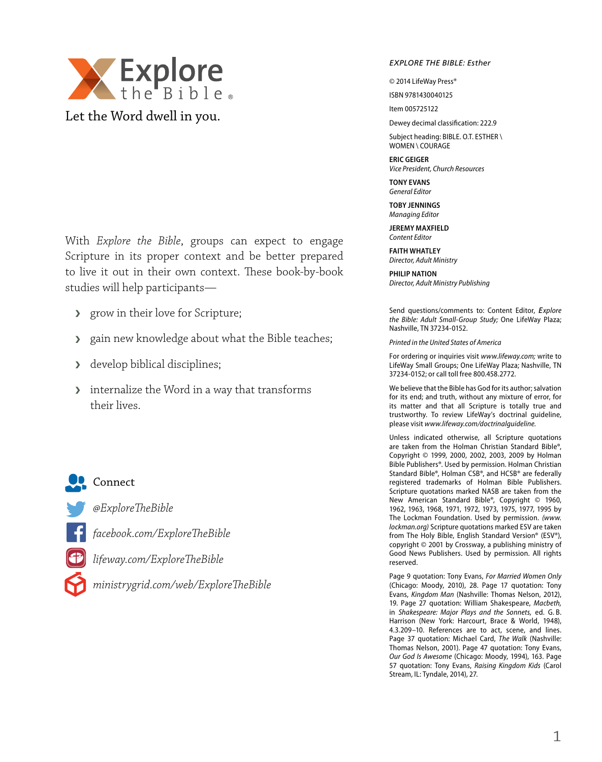

#### Let the Word dwell in you.

With *Explore the Bible*, groups can expect to engage Scripture in its proper context and be better prepared to live it out in their own context. These book-by-book studies will help participants—

- Solution y grow in their love for Scripture;
- > gain new knowledge about what the Bible teaches;
- > develop biblical disciplines;
- ▶ internalize the Word in a way that transforms their lives.



*@ExploreTheBible*

*facebook.com/ExploreTheBible*

*lifeway.com/ExploreTheBible* 

*ministrygrid.com/web/ExploreTheBible*

#### *EXPLORE THE BIBLE: Esther*

© 2014 LifeWay Press®

ISBN 9781430040125

Item 005725122

Dewey decimal classification: 222.9

Subject heading: BIBLE. O.T. ESTHER \ WOMEN \ COURAGE

**ERIC GEIGER** *Vice President, Church Resources*

**TONY EVANS** *General Editor*

**TOBY JENNINGS** *Managing Editor*

**JEREMY MAXFIELD** *Content Editor*

**FAITH WHATLEY** *Director, Adult Ministry*

**PHILIP NATION** *Director, Adult Ministry Publishing*

Send questions/comments to: Content Editor, *Explore the Bible: Adult Small-Group Study;* One LifeWay Plaza; Nashville, TN 37234-0152.

*Printed in the United States of America*

For ordering or inquiries visit *www.lifeway.com;* write to LifeWay Small Groups; One LifeWay Plaza; Nashville, TN 37234-0152; or call toll free 800.458.2772.

We believe that the Bible has God for its author; salvation for its end; and truth, without any mixture of error, for its matter and that all Scripture is totally true and trustworthy. To review LifeWay's doctrinal guideline, please visit *www.lifeway.com/doctrinalguideline.*

Unless indicated otherwise, all Scripture quotations are taken from the Holman Christian Standard Bible®, Copyright © 1999, 2000, 2002, 2003, 2009 by Holman Bible Publishers®. Used by permission. Holman Christian Standard Bible®, Holman CSB®, and HCSB® are federally registered trademarks of Holman Bible Publishers. Scripture quotations marked NASB are taken from the New American Standard Bible®, Copyright © 1960, 1962, 1963, 1968, 1971, 1972, 1973, 1975, 1977, 1995 by The Lockman Foundation. Used by permission. *(www. lockman.org)* Scripture quotations marked ESV are taken from The Holy Bible, English Standard Version® (ESV®), copyright © 2001 by Crossway, a publishing ministry of Good News Publishers. Used by permission. All rights reserved.

Page 9 quotation: Tony Evans, *For Married Women Only*  (Chicago: Moody, 2010), 28. Page 17 quotation: Tony Evans, *Kingdom Man* (Nashville: Thomas Nelson, 2012), 19. Page 27 quotation: William Shakespeare, *Macbeth,* in *Shakespeare: Major Plays and the Sonnets,* ed. G. B. Harrison (New York: Harcourt, Brace & World, 1948), 4.3.209–10. References are to act, scene, and lines. Page 37 quotation: Michael Card, *The Walk* (Nashville: Thomas Nelson, 2001). Page 47 quotation: Tony Evans, *Our God Is Awesome* (Chicago: Moody, 1994), 163. Page 57 quotation: Tony Evans, *Raising Kingdom Kids* (Carol Stream, IL: Tyndale, 2014), 27.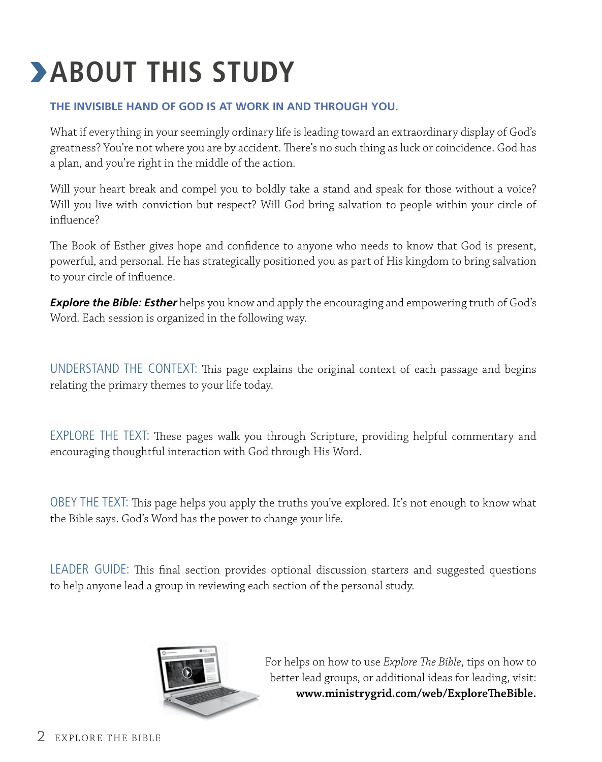### **ABOUT THIS STUDY**

#### **THE INVISIBLE HAND OF GOD IS AT WORK IN AND THROUGH YOU.**

What if everything in your seemingly ordinary life is leading toward an extraordinary display of God's greatness? You're not where you are by accident. There's no such thing as luck or coincidence. God has a plan, and you're right in the middle of the action.

Will your heart break and compel you to boldly take a stand and speak for those without a voice? Will you live with conviction but respect? Will God bring salvation to people within your circle of influence?

The Book of Esther gives hope and confidence to anyone who needs to know that God is present, powerful, and personal. He has strategically positioned you as part of His kingdom to bring salvation to your circle of influence.

*Explore the Bible: Esther* helps you know and apply the encouraging and empowering truth of God's Word. Each session is organized in the following way.

UNDERSTAND THE CONTEXT: This page explains the original context of each passage and begins relating the primary themes to your life today.

EXPLORE THE TEXT: These pages walk you through Scripture, providing helpful commentary and encouraging thoughtful interaction with God through His Word.

OBEY THE TEXT: This page helps you apply the truths you've explored. It's not enough to know what the Bible says. God's Word has the power to change your life.

LEADER GUIDE: This final section provides optional discussion starters and suggested questions to help anyone lead a group in reviewing each section of the personal study.



For helps on how to use *Explore The Bible*, tips on how to better lead groups, or additional ideas for leading, visit: **www.ministrygrid.com/web/ExploreTheBible.**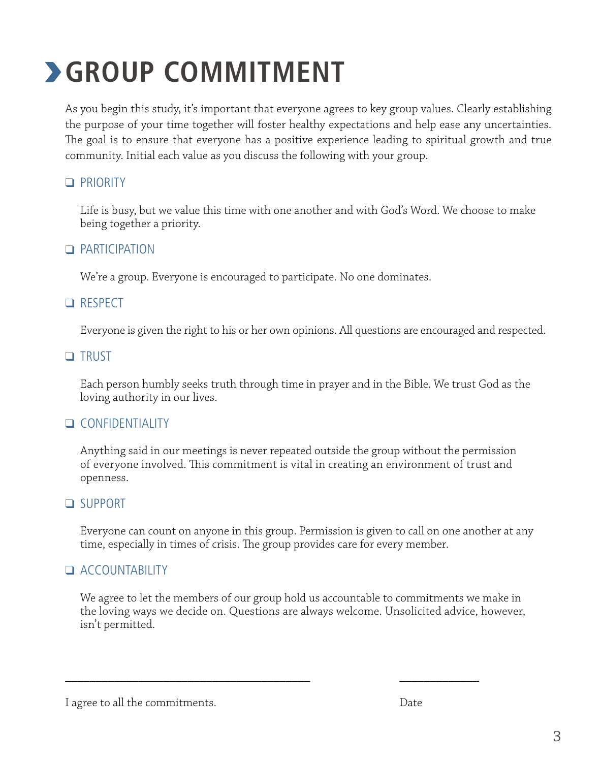### **SGROUP COMMITMENT**

As you begin this study, it's important that everyone agrees to key group values. Clearly establishing the purpose of your time together will foster healthy expectations and help ease any uncertainties. The goal is to ensure that everyone has a positive experience leading to spiritual growth and true community. Initial each value as you discuss the following with your group.

#### ❑ PRIORITY

Life is busy, but we value this time with one another and with God's Word. We choose to make being together a priority.

#### ❑ PARTICIPATION

We're a group. Everyone is encouraged to participate. No one dominates.

#### ❑ RESPECT

Everyone is given the right to his or her own opinions. All questions are encouraged and respected.

#### ❑ TRUST

Each person humbly seeks truth through time in prayer and in the Bible. We trust God as the loving authority in our lives.

#### ❑ CONFIDENTIALITY

Anything said in our meetings is never repeated outside the group without the permission of everyone involved. This commitment is vital in creating an environment of trust and openness.

#### ❑ SUPPORT

Everyone can count on anyone in this group. Permission is given to call on one another at any time, especially in times of crisis. The group provides care for every member.

#### ❑ ACCOUNTABILITY

We agree to let the members of our group hold us accountable to commitments we make in the loving ways we decide on. Questions are always welcome. Unsolicited advice, however, isn't permitted.

\_\_\_\_\_\_\_\_\_\_\_\_\_\_\_\_\_\_\_\_\_\_\_\_\_\_\_\_\_\_\_\_\_\_\_\_\_\_\_\_ \_\_\_\_\_\_\_\_\_\_\_\_\_

#### I agree to all the commitments. Date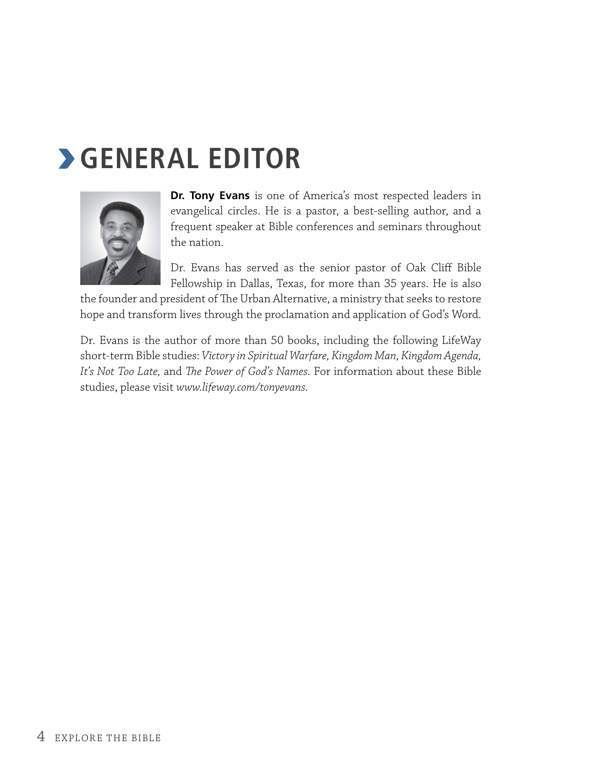### **GENERAL EDITOR**



**Dr. Tony Evans** is one of America's most respected leaders in evangelical circles. He is a pastor, a best-selling author, and a frequent speaker at Bible conferences and seminars throughout the nation.

Dr. Evans has served as the senior pastor of Oak Cliff Bible Fellowship in Dallas, Texas, for more than 35 years. He is also

the founder and president of The Urban Alternative, a ministry that seeks to restore hope and transform lives through the proclamation and application of God's Word.

Dr. Evans is the author of more than 50 books, including the following LifeWay short-term Bible studies: *Victory in Spiritual Warfare, Kingdom Man, Kingdom Agenda, It's Not Too Late,* and *The Power of God's Names.* For information about these Bible studies, please visit *www.lifeway.com/tonyevans.*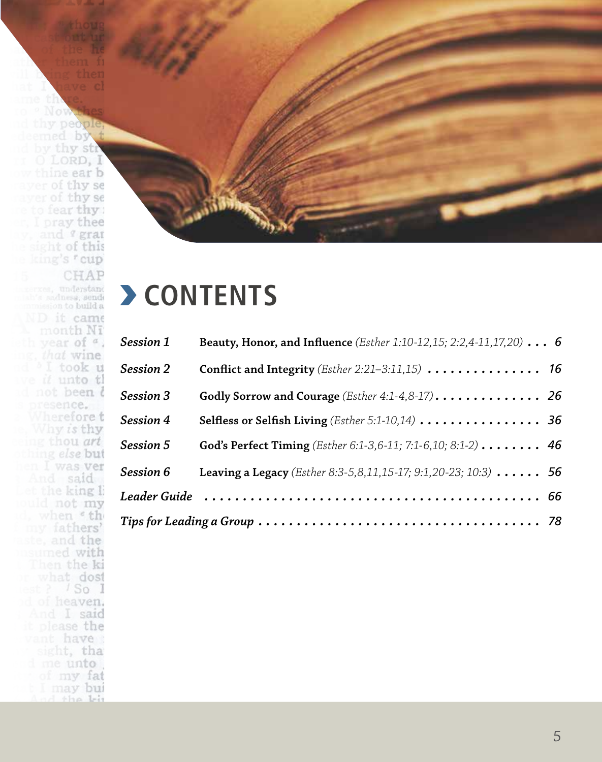hy people med by by thy str O LORD, I w thine ear b ayer of thy se ayer of thy se e to fear thy : r, I pray thee e sight of this e king's reup

CHAP xes, understand s sadness, sende mmission to build a ND it came month Ni h year of " g, that wine 'I took u e it unto th d not been *b* presence.

Wherefore t Why is thy ing thou art hing else but en I was ver And said et the king li uld not my when *ethe* my fathers' ste, and the sumed with Then the ki what dost d of heaven. And I said t please the vant have t sight, that d me unto. of my fat I may bui

the kir



### > CONTENTS

| Session 1        | Beauty, Honor, and Influence (Esther 1:10-12,15; 2:2,4-11,17,20) 6                   |
|------------------|--------------------------------------------------------------------------------------|
| <b>Session 2</b> | Conflict and Integrity (Esther 2:21-3:11,15)  16                                     |
| <b>Session 3</b> | Godly Sorrow and Courage (Esther 4:1-4,8-17) 26                                      |
| Session 4        | Selfless or Selfish Living (Esther 5:1-10,14)  36                                    |
| <b>Session 5</b> | God's Perfect Timing (Esther 6:1-3,6-11; 7:1-6,10; 8:1-2)  46                        |
| Session 6        | <b>Leaving a Legacy</b> (Esther 8:3-5, 8, 11, 15-17; 9:1, 20-23; 10:3) $\ldots$ . 56 |
|                  |                                                                                      |
|                  |                                                                                      |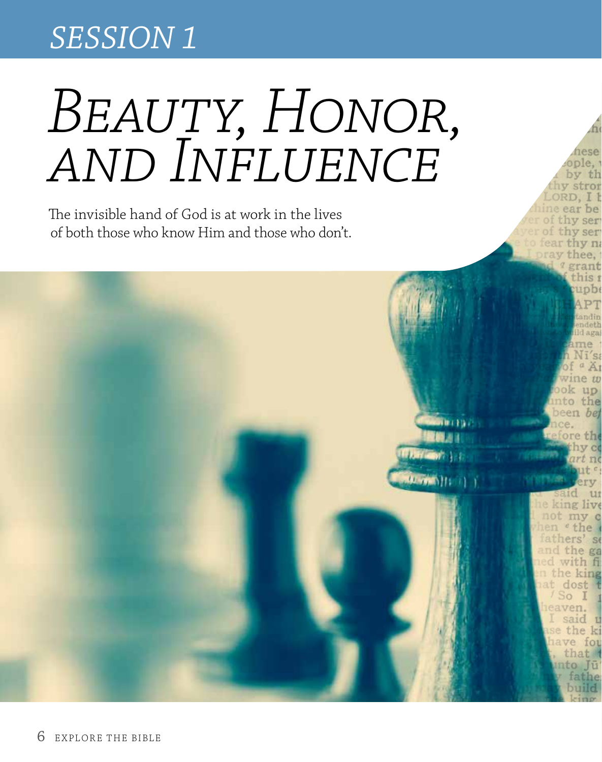### *SESSION 1*

## *Beauty, Honor, and Influence*

The invisible hand of God is at work in the lives of both those who know Him and those who don't.

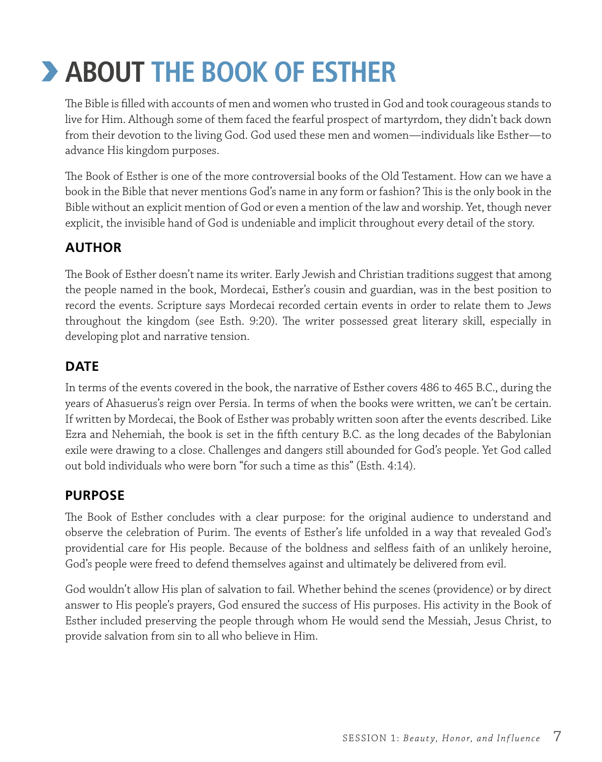### **ABOUT THE BOOK OF ESTHER**

The Bible is filled with accounts of men and women who trusted in God and took courageous stands to live for Him. Although some of them faced the fearful prospect of martyrdom, they didn't back down from their devotion to the living God. God used these men and women—individuals like Esther—to advance His kingdom purposes.

The Book of Esther is one of the more controversial books of the Old Testament. How can we have a book in the Bible that never mentions God's name in any form or fashion? This is the only book in the Bible without an explicit mention of God or even a mention of the law and worship. Yet, though never explicit, the invisible hand of God is undeniable and implicit throughout every detail of the story.

#### **AUTHOR**

The Book of Esther doesn't name its writer. Early Jewish and Christian traditions suggest that among the people named in the book, Mordecai, Esther's cousin and guardian, was in the best position to record the events. Scripture says Mordecai recorded certain events in order to relate them to Jews throughout the kingdom (see Esth. 9:20). The writer possessed great literary skill, especially in developing plot and narrative tension.

#### **DATE**

In terms of the events covered in the book, the narrative of Esther covers 486 to 465 B.C., during the years of Ahasuerus's reign over Persia. In terms of when the books were written, we can't be certain. If written by Mordecai, the Book of Esther was probably written soon after the events described. Like Ezra and Nehemiah, the book is set in the fifth century B.C. as the long decades of the Babylonian exile were drawing to a close. Challenges and dangers still abounded for God's people. Yet God called out bold individuals who were born "for such a time as this" (Esth. 4:14).

#### **PURPOSE**

The Book of Esther concludes with a clear purpose: for the original audience to understand and observe the celebration of Purim. The events of Esther's life unfolded in a way that revealed God's providential care for His people. Because of the boldness and selfless faith of an unlikely heroine, God's people were freed to defend themselves against and ultimately be delivered from evil.

God wouldn't allow His plan of salvation to fail. Whether behind the scenes (providence) or by direct answer to His people's prayers, God ensured the success of His purposes. His activity in the Book of Esther included preserving the people through whom He would send the Messiah, Jesus Christ, to provide salvation from sin to all who believe in Him.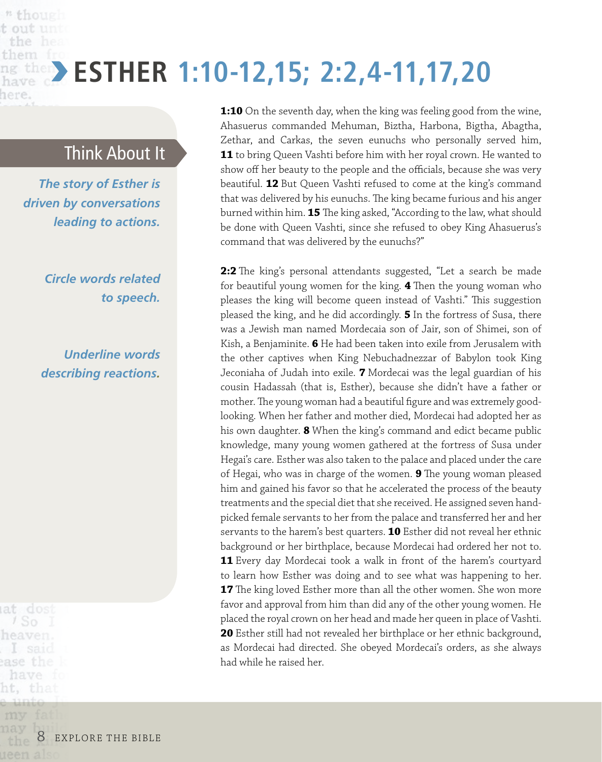## **ESTHER 1:10-12,15; 2:2,4-11,17,20**

### Think About It

*The story of Esther is driven by conversations leading to actions.*

"though

nere.

*Circle words related to speech.*

*Underline words describing reactions.* 

8 EXPLORE THE BIBLE

at dost

**1:10** On the seventh day, when the king was feeling good from the wine, Ahasuerus commanded Mehuman, Biztha, Harbona, Bigtha, Abagtha, Zethar, and Carkas, the seven eunuchs who personally served him, **11** to bring Queen Vashti before him with her royal crown. He wanted to show off her beauty to the people and the officials, because she was very beautiful. **12** But Queen Vashti refused to come at the king's command that was delivered by his eunuchs. The king became furious and his anger burned within him. **15** The king asked, "According to the law, what should be done with Queen Vashti, since she refused to obey King Ahasuerus's command that was delivered by the eunuchs?"

**2:2** The king's personal attendants suggested, "Let a search be made for beautiful young women for the king. **4** Then the young woman who pleases the king will become queen instead of Vashti." This suggestion pleased the king, and he did accordingly. **5** In the fortress of Susa, there was a Jewish man named Mordecaia son of Jair, son of Shimei, son of Kish, a Benjaminite. **6** He had been taken into exile from Jerusalem with the other captives when King Nebuchadnezzar of Babylon took King Jeconiaha of Judah into exile. **7** Mordecai was the legal guardian of his cousin Hadassah (that is, Esther), because she didn't have a father or mother. The young woman had a beautiful figure and was extremely goodlooking. When her father and mother died, Mordecai had adopted her as his own daughter. **8** When the king's command and edict became public knowledge, many young women gathered at the fortress of Susa under Hegai's care. Esther was also taken to the palace and placed under the care of Hegai, who was in charge of the women. **9** The young woman pleased him and gained his favor so that he accelerated the process of the beauty treatments and the special diet that she received. He assigned seven handpicked female servants to her from the palace and transferred her and her servants to the harem's best quarters. **10** Esther did not reveal her ethnic background or her birthplace, because Mordecai had ordered her not to. **11** Every day Mordecai took a walk in front of the harem's courtyard to learn how Esther was doing and to see what was happening to her. **17** The king loved Esther more than all the other women. She won more favor and approval from him than did any of the other young women. He placed the royal crown on her head and made her queen in place of Vashti. **20** Esther still had not revealed her birthplace or her ethnic background, as Mordecai had directed. She obeyed Mordecai's orders, as she always had while he raised her.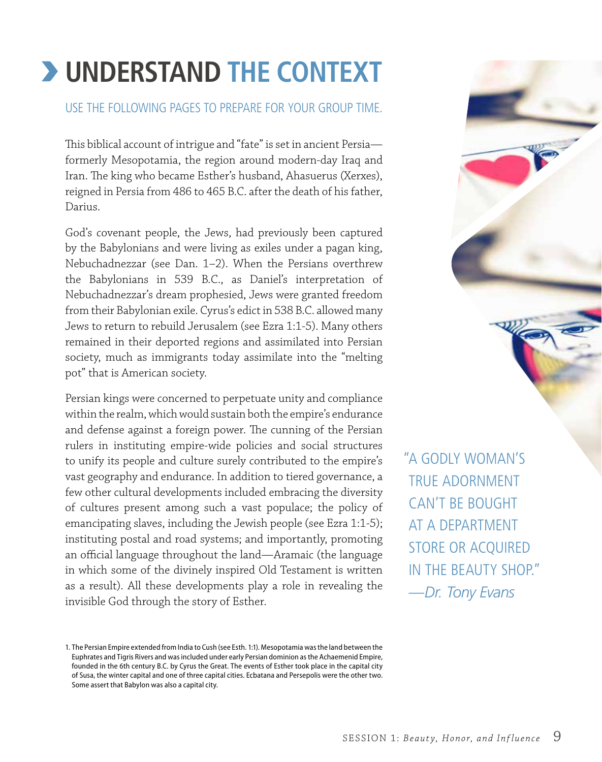### **UNDERSTAND THE CONTEXT**

#### USE THE FOLLOWING PAGES TO PREPARE FOR YOUR GROUP TIME.

This biblical account of intrigue and "fate" is set in ancient Persia formerly Mesopotamia, the region around modern-day Iraq and Iran. The king who became Esther's husband, Ahasuerus (Xerxes), reigned in Persia from 486 to 465 B.C. after the death of his father, Darius.

God's covenant people, the Jews, had previously been captured by the Babylonians and were living as exiles under a pagan king, Nebuchadnezzar (see Dan. 1–2). When the Persians overthrew the Babylonians in 539 B.C., as Daniel's interpretation of Nebuchadnezzar's dream prophesied, Jews were granted freedom from their Babylonian exile. Cyrus's edict in 538 B.C. allowed many Jews to return to rebuild Jerusalem (see Ezra 1:1-5). Many others remained in their deported regions and assimilated into Persian society, much as immigrants today assimilate into the "melting pot" that is American society.

Persian kings were concerned to perpetuate unity and compliance within the realm, which would sustain both the empire's endurance and defense against a foreign power. The cunning of the Persian rulers in instituting empire-wide policies and social structures to unify its people and culture surely contributed to the empire's vast geography and endurance. In addition to tiered governance, a few other cultural developments included embracing the diversity of cultures present among such a vast populace; the policy of emancipating slaves, including the Jewish people (see Ezra 1:1-5); instituting postal and road systems; and importantly, promoting an official language throughout the land—Aramaic (the language in which some of the divinely inspired Old Testament is written as a result). All these developments play a role in revealing the invisible God through the story of Esther.

"A GODLY WOMAN'S TRUE ADORNMENT CAN'T BE BOUGHT AT A DEPARTMENT STORE OR ACOUIRED IN THE BEAUTY SHOP." *—Dr. Tony Evans*

<sup>1.</sup> The Persian Empire extended from India to Cush (see Esth. 1:1). Mesopotamia was the land between the Euphrates and Tigris Rivers and was included under early Persian dominion as the Achaemenid Empire, founded in the 6th century B.C. by Cyrus the Great. The events of Esther took place in the capital city of Susa, the winter capital and one of three capital cities. Ecbatana and Persepolis were the other two. Some assert that Babylon was also a capital city.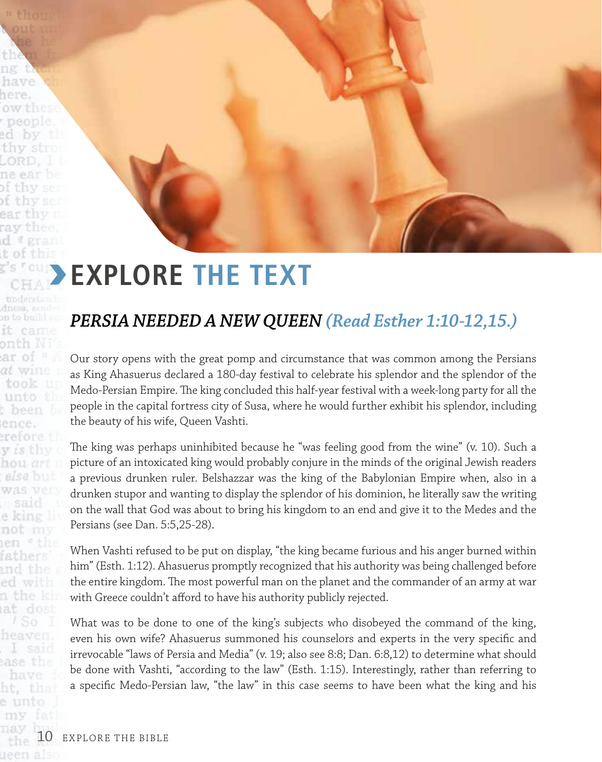

### **EXPLORE THE TEXT**

#### *PERSIA NEEDED A NEW QUEEN (Read Esther 1:10-12,15.)*

Our story opens with the great pomp and circumstance that was common among the Persians as King Ahasuerus declared a 180-day festival to celebrate his splendor and the splendor of the Medo-Persian Empire. The king concluded this half-year festival with a week-long party for all the people in the capital fortress city of Susa, where he would further exhibit his splendor, including the beauty of his wife, Queen Vashti.

The king was perhaps uninhibited because he "was feeling good from the wine" (v. 10). Such a picture of an intoxicated king would probably conjure in the minds of the original Jewish readers a previous drunken ruler. Belshazzar was the king of the Babylonian Empire when, also in a drunken stupor and wanting to display the splendor of his dominion, he literally saw the writing on the wall that God was about to bring his kingdom to an end and give it to the Medes and the Persians (see Dan. 5:5,25-28).

When Vashti refused to be put on display, "the king became furious and his anger burned within him" (Esth. 1:12). Ahasuerus promptly recognized that his authority was being challenged before the entire kingdom. The most powerful man on the planet and the commander of an army at war with Greece couldn't afford to have his authority publicly rejected.

What was to be done to one of the king's subjects who disobeyed the command of the king, even his own wife? Ahasuerus summoned his counselors and experts in the very specific and irrevocable "laws of Persia and Media" (v. 19; also see 8:8; Dan. 6:8,12) to determine what should be done with Vashti, "according to the law" (Esth. 1:15). Interestingly, rather than referring to a specific Medo-Persian law, "the law" in this case seems to have been what the king and his

at dos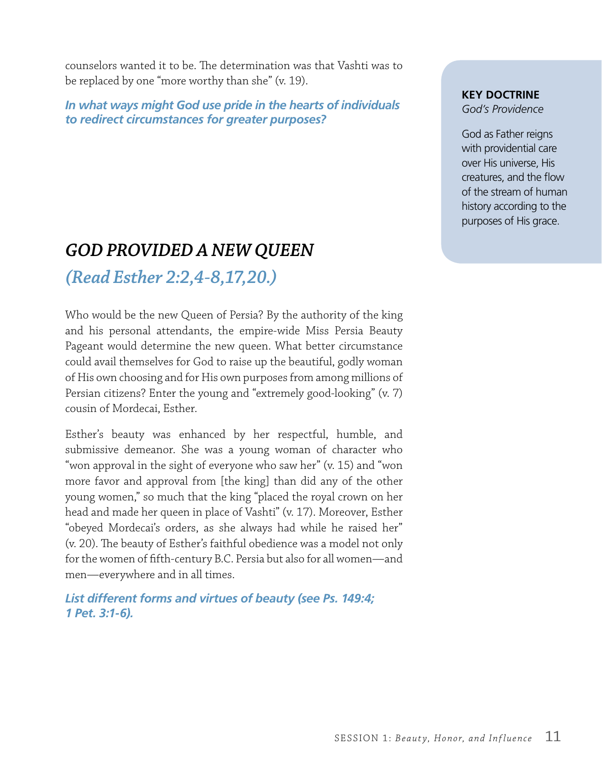counselors wanted it to be. The determination was that Vashti was to be replaced by one "more worthy than she" (v. 19).

*In what ways might God use pride in the hearts of individuals to redirect circumstances for greater purposes?*

#### *GOD PROVIDED A NEW QUEEN*

*(Read Esther 2:2,4-8,17,20.)*

Who would be the new Queen of Persia? By the authority of the king and his personal attendants, the empire-wide Miss Persia Beauty Pageant would determine the new queen. What better circumstance could avail themselves for God to raise up the beautiful, godly woman of His own choosing and for His own purposes from among millions of Persian citizens? Enter the young and "extremely good-looking" (v. 7) cousin of Mordecai, Esther.

Esther's beauty was enhanced by her respectful, humble, and submissive demeanor. She was a young woman of character who "won approval in the sight of everyone who saw her" (v. 15) and "won more favor and approval from [the king] than did any of the other young women," so much that the king "placed the royal crown on her head and made her queen in place of Vashti" (v. 17). Moreover, Esther "obeyed Mordecai's orders, as she always had while he raised her" (v. 20). The beauty of Esther's faithful obedience was a model not only for the women of fifth-century B.C. Persia but also for all women—and men—everywhere and in all times.

*List different forms and virtues of beauty (see Ps. 149:4; 1 Pet. 3:1-6).*

#### **KEY DOCTRINE**

*God's Providence*

God as Father reigns with providential care over His universe, His creatures, and the flow of the stream of human history according to the purposes of His grace.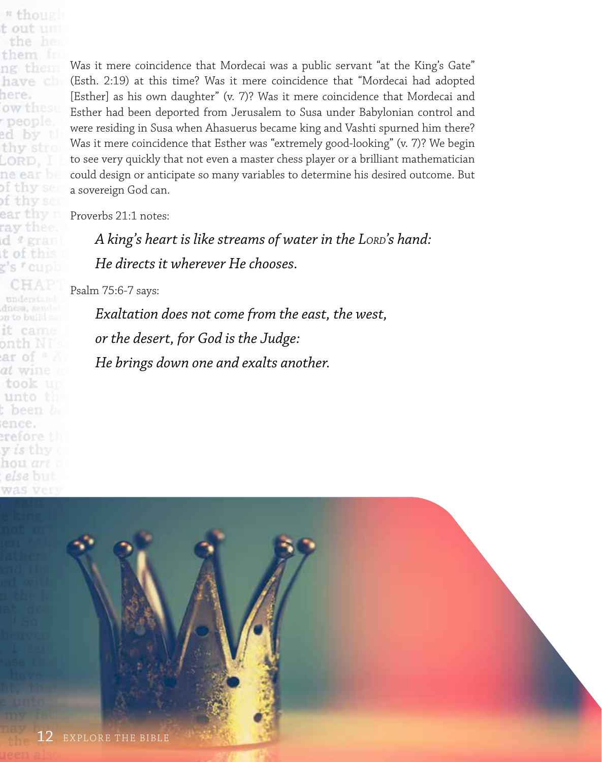Was it mere coincidence that Mordecai was a public servant "at the King's Gate" (Esth. 2:19) at this time? Was it mere coincidence that "Mordecai had adopted [Esther] as his own daughter" (v. 7)? Was it mere coincidence that Mordecai and Esther had been deported from Jerusalem to Susa under Babylonian control and were residing in Susa when Ahasuerus became king and Vashti spurned him there? Was it mere coincidence that Esther was "extremely good-looking" (v. 7)? We begin to see very quickly that not even a master chess player or a brilliant mathematician could design or anticipate so many variables to determine his desired outcome. But a sovereign God can.

Proverbs 21:1 notes:

" though t out

them

ray the d ? gr it of this g's <sup>r</sup>eupl

took unto th been by

refore th

*A king's heart is like streams of water in the LORD's hand: He directs it wherever He chooses.* 

Psalm 75:6-7 says:

*Exaltation does not come from the east, the west, or the desert, for God is the Judge: He brings down one and exalts another.* 

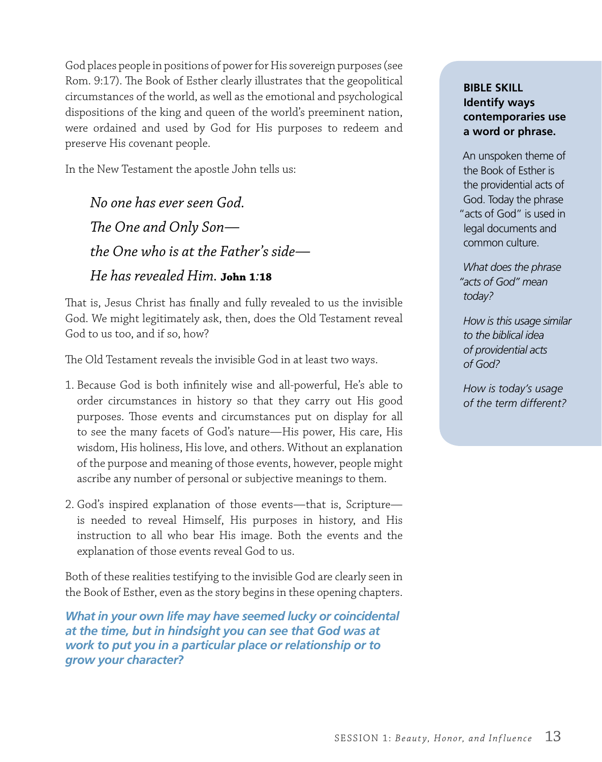God places people in positions of power for His sovereign purposes (see Rom. 9:17). The Book of Esther clearly illustrates that the geopolitical circumstances of the world, as well as the emotional and psychological dispositions of the king and queen of the world's preeminent nation, were ordained and used by God for His purposes to redeem and preserve His covenant people.

In the New Testament the apostle John tells us:

*No one has ever seen God. The One and Only Son the One who is at the Father's side— He has revealed Him.* **John 1***:***18**

That is, Jesus Christ has finally and fully revealed to us the invisible God. We might legitimately ask, then, does the Old Testament reveal God to us too, and if so, how?

The Old Testament reveals the invisible God in at least two ways.

- 1. Because God is both infinitely wise and all-powerful, He's able to order circumstances in history so that they carry out His good purposes. Those events and circumstances put on display for all to see the many facets of God's nature—His power, His care, His wisdom, His holiness, His love, and others. Without an explanation of the purpose and meaning of those events, however, people might ascribe any number of personal or subjective meanings to them.
- 2. God's inspired explanation of those events—that is, Scripture is needed to reveal Himself, His purposes in history, and His instruction to all who bear His image. Both the events and the explanation of those events reveal God to us.

Both of these realities testifying to the invisible God are clearly seen in the Book of Esther, even as the story begins in these opening chapters.

*What in your own life may have seemed lucky or coincidental at the time, but in hindsight you can see that God was at work to put you in a particular place or relationship or to grow your character?*

#### **BIBLE SKILL Identify ways contemporaries use a word or phrase.**

An unspoken theme of the Book of Esther is the providential acts of God. Today the phrase "acts of God" is used in legal documents and common culture.

*What does the phrase "acts of God" mean today?*

*How is this usage similar to the biblical idea of providential acts of God?*

*How is today's usage of the term different?*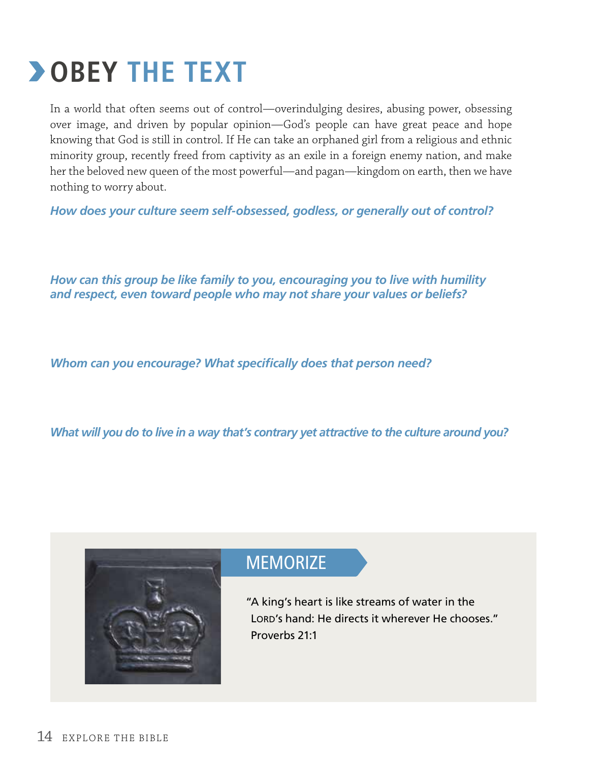### **DBEY THE TEXT**

In a world that often seems out of control—overindulging desires, abusing power, obsessing over image, and driven by popular opinion—God's people can have great peace and hope knowing that God is still in control. If He can take an orphaned girl from a religious and ethnic minority group, recently freed from captivity as an exile in a foreign enemy nation, and make her the beloved new queen of the most powerful—and pagan—kingdom on earth, then we have nothing to worry about.

*How does your culture seem self-obsessed, godless, or generally out of control?*

*How can this group be like family to you, encouraging you to live with humility and respect, even toward people who may not share your values or beliefs?*

*Whom can you encourage? What specifically does that person need?*

*What will you do to live in a way that's contrary yet attractive to the culture around you?*



#### **MEMORIZE**

"A king's heart is like streams of water in the LORD's hand: He directs it wherever He chooses." Proverbs 21:1